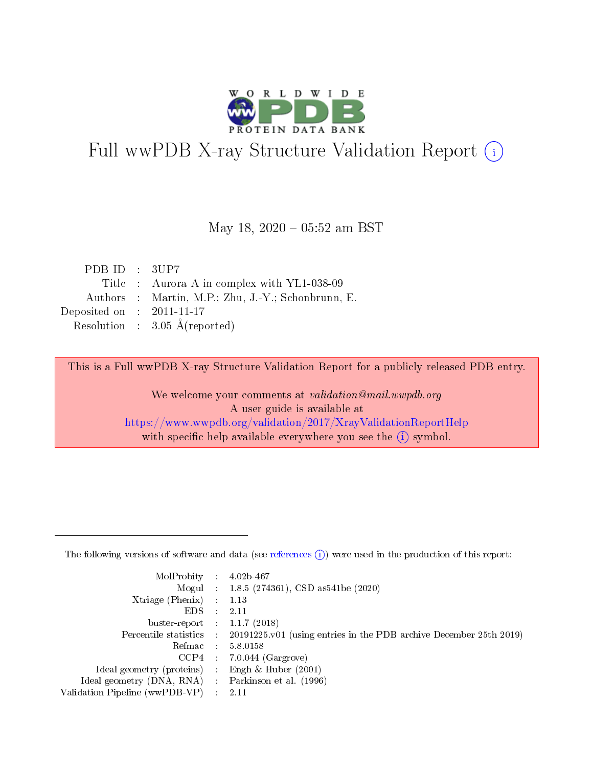

# Full wwPDB X-ray Structure Validation Report (i)

#### May 18,  $2020 - 05:52$  am BST

| PDB ID : $3UP7$                      |                                                    |
|--------------------------------------|----------------------------------------------------|
|                                      | Title : Aurora A in complex with YL1-038-09        |
|                                      | Authors : Martin, M.P.; Zhu, J.-Y.; Schonbrunn, E. |
| Deposited on $\therefore$ 2011-11-17 |                                                    |
|                                      | Resolution : $3.05 \text{ Å}$ (reported)           |

This is a Full wwPDB X-ray Structure Validation Report for a publicly released PDB entry.

We welcome your comments at validation@mail.wwpdb.org A user guide is available at <https://www.wwpdb.org/validation/2017/XrayValidationReportHelp> with specific help available everywhere you see the  $(i)$  symbol.

The following versions of software and data (see [references](https://www.wwpdb.org/validation/2017/XrayValidationReportHelp#references)  $(1)$ ) were used in the production of this report:

| MolProbity : 4.02b-467         |     |                                                                                            |
|--------------------------------|-----|--------------------------------------------------------------------------------------------|
|                                |     | Mogul : $1.8.5$ (274361), CSD as 541be (2020)                                              |
| $X$ triage (Phenix) :          |     | 1.13                                                                                       |
| EDS.                           |     | 2.11                                                                                       |
| buster-report : $1.1.7$ (2018) |     |                                                                                            |
|                                |     | Percentile statistics : 20191225.v01 (using entries in the PDB archive December 25th 2019) |
| Refmac                         |     | 5.8.0158                                                                                   |
| CCP4                           |     | $7.0.044$ (Gargrove)                                                                       |
| Ideal geometry (proteins) :    |     | Engh $\&$ Huber (2001)                                                                     |
| Ideal geometry (DNA, RNA) :    |     | Parkinson et al. (1996)                                                                    |
| Validation Pipeline (wwPDB-VP) | -11 | -2.11                                                                                      |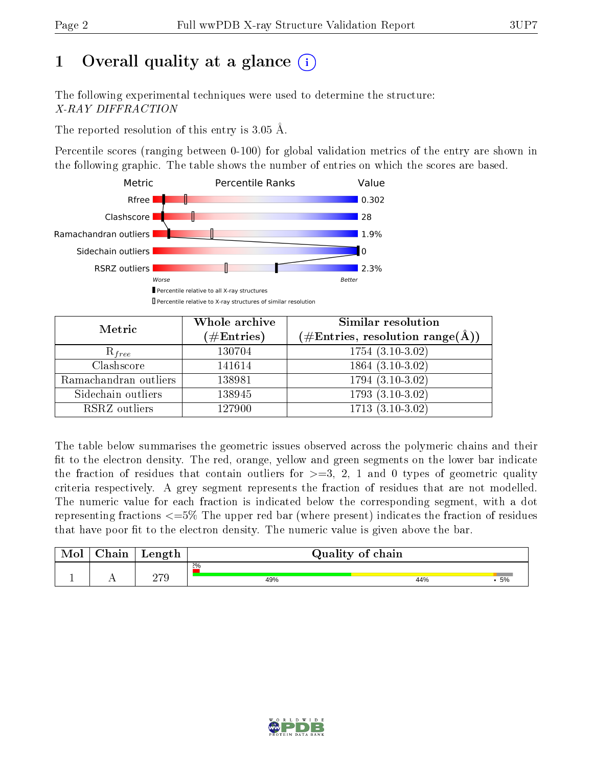# 1 [O](https://www.wwpdb.org/validation/2017/XrayValidationReportHelp#overall_quality)verall quality at a glance  $(i)$

The following experimental techniques were used to determine the structure: X-RAY DIFFRACTION

The reported resolution of this entry is  $3.05 \text{ Å}.$ 

Percentile scores (ranging between 0-100) for global validation metrics of the entry are shown in the following graphic. The table shows the number of entries on which the scores are based.



| Metric                | Whole archive<br>$(\#\mathrm{Entries})$ | Similar resolution<br>$(\#\text{Entries},\, \text{resolution}\; \text{range}(\textup{\AA}))$ |
|-----------------------|-----------------------------------------|----------------------------------------------------------------------------------------------|
| $R_{free}$            | 130704                                  | $1754(3.10-3.02)$                                                                            |
| Clashscore            | 141614                                  | $1864(3.10-3.02)$                                                                            |
| Ramachandran outliers | 138981                                  | $1794(3.10-3.02)$                                                                            |
| Sidechain outliers    | 138945                                  | $1793(3.10-3.02)$                                                                            |
| RSRZ outliers         | 127900                                  | $1713(3.10-3.02)$                                                                            |

The table below summarises the geometric issues observed across the polymeric chains and their fit to the electron density. The red, orange, yellow and green segments on the lower bar indicate the fraction of residues that contain outliers for  $>=3, 2, 1$  and 0 types of geometric quality criteria respectively. A grey segment represents the fraction of residues that are not modelled. The numeric value for each fraction is indicated below the corresponding segment, with a dot representing fractions  $\epsilon=5\%$  The upper red bar (where present) indicates the fraction of residues that have poor fit to the electron density. The numeric value is given above the bar.

| Mol | $\cap$ hain | Length | Quality of chain |     |    |  |  |  |
|-----|-------------|--------|------------------|-----|----|--|--|--|
|     |             |        | $2\%$            |     |    |  |  |  |
|     |             | חדה    | 49%              | 44% | 5% |  |  |  |

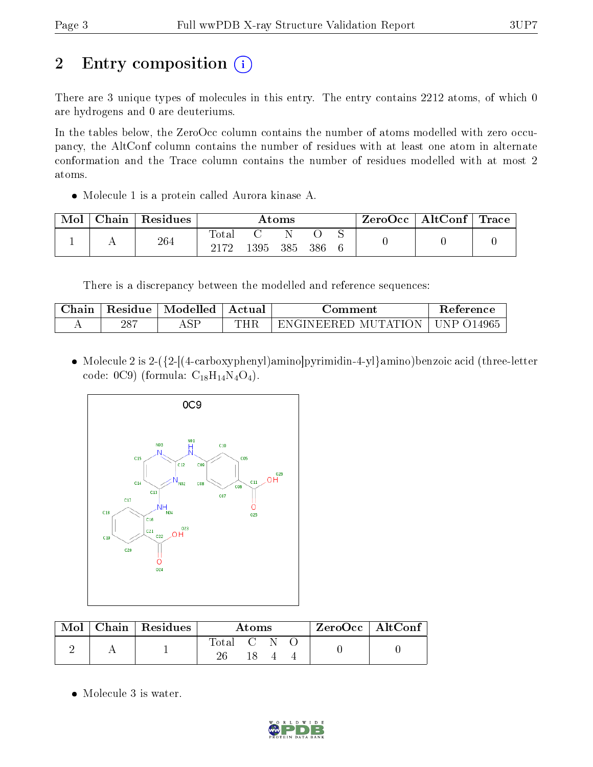# 2 Entry composition (i)

There are 3 unique types of molecules in this entry. The entry contains 2212 atoms, of which 0 are hydrogens and 0 are deuteriums.

In the tables below, the ZeroOcc column contains the number of atoms modelled with zero occupancy, the AltConf column contains the number of residues with at least one atom in alternate conformation and the Trace column contains the number of residues modelled with at most 2 atoms.

Molecule 1 is a protein called Aurora kinase A.

| Mol | Chain | Residues | $\rm{Atoms}$  |      |     |      | $\text{ZeroOcc} \mid \text{AltConf} \mid \text{Trace}$ |  |  |
|-----|-------|----------|---------------|------|-----|------|--------------------------------------------------------|--|--|
|     |       | 264      | Total<br>ว17ว |      |     |      |                                                        |  |  |
|     |       |          |               | 1395 | 385 | -386 |                                                        |  |  |

There is a discrepancy between the modelled and reference sequences:

| hain | Residue    | Modelled | .ctual<br>$\mathbf{A}$ | omment                                             | Reference |
|------|------------|----------|------------------------|----------------------------------------------------|-----------|
| . .  | -287<br>∠∪ | ASF      | THE                    | Н.<br>MI<br>IN HIHI<br>'' Δ' Ι<br>EK HI<br>.<br>NO | 4965<br>┕ |

 Molecule 2 is 2-({2-[(4-carboxyphenyl)amino]pyrimidin-4-yl}amino)benzoic acid (three-letter code: 0C9) (formula:  $C_{18}H_{14}N_4O_4$ ).



| $\text{Mol}$ | $\perp$ Chain   Residues | Atoms       |  |  |  | ZeroOcc   AltConf |  |
|--------------|--------------------------|-------------|--|--|--|-------------------|--|
|              |                          | Total C N O |  |  |  |                   |  |
|              |                          |             |  |  |  |                   |  |

• Molecule 3 is water.

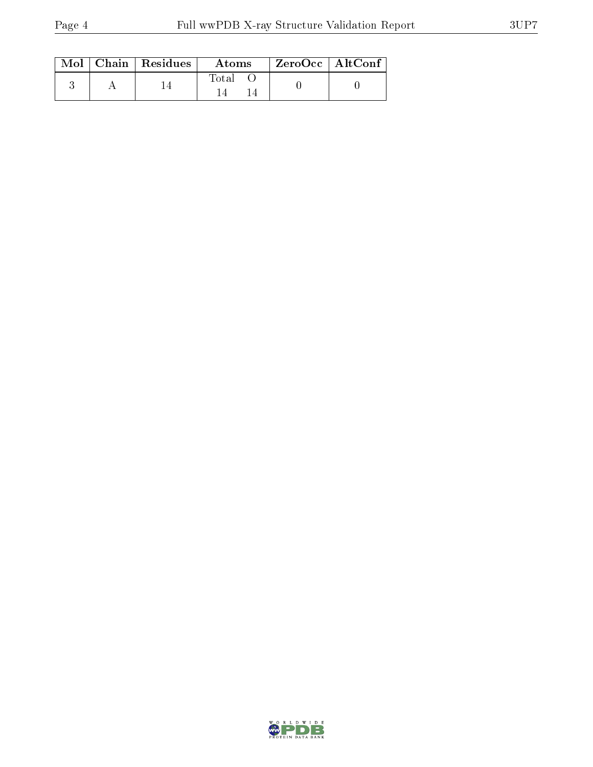|  | $Mol$   Chain   Residues | Atoms | $ZeroOcc \mid AltConf \mid$ |
|--|--------------------------|-------|-----------------------------|
|  |                          | Total |                             |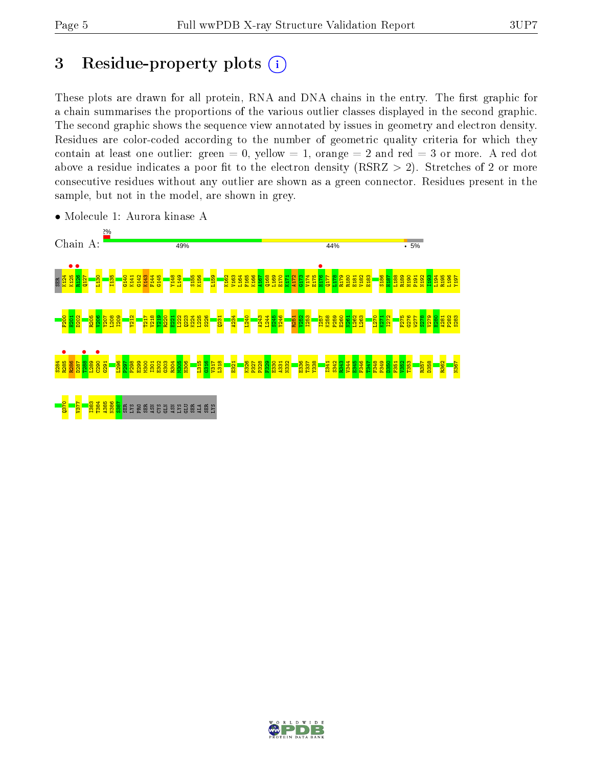## 3 Residue-property plots  $(i)$

These plots are drawn for all protein, RNA and DNA chains in the entry. The first graphic for a chain summarises the proportions of the various outlier classes displayed in the second graphic. The second graphic shows the sequence view annotated by issues in geometry and electron density. Residues are color-coded according to the number of geometric quality criteria for which they contain at least one outlier: green  $= 0$ , yellow  $= 1$ , orange  $= 2$  and red  $= 3$  or more. A red dot above a residue indicates a poor fit to the electron density (RSRZ  $> 2$ ). Stretches of 2 or more consecutive residues without any outlier are shown as a green connector. Residues present in the sample, but not in the model, are shown in grey.



• Molecule 1: Aurora kinase A

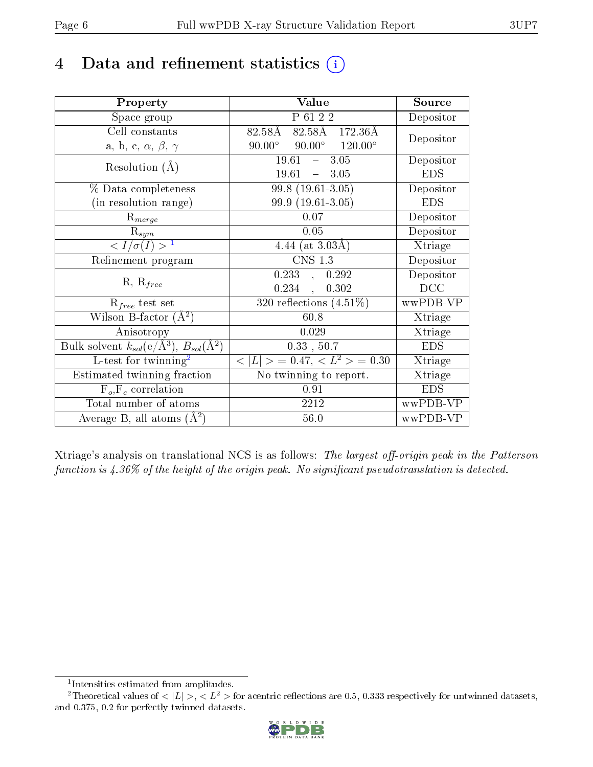# 4 Data and refinement statistics  $(i)$

| Property                                                         | Value                                            | Source     |
|------------------------------------------------------------------|--------------------------------------------------|------------|
| Space group                                                      | P 61 2 2                                         | Depositor  |
| Cell constants                                                   | $82.58\AA$ $82.58\AA$ $172.36\AA$                | Depositor  |
| a, b, c, $\alpha$ , $\beta$ , $\gamma$                           | $90.00^{\circ}$ $90.00^{\circ}$ $120.00^{\circ}$ |            |
| Resolution $(A)$                                                 | $-3.05$<br>19.61                                 | Depositor  |
|                                                                  | $19.61 - 3.05$                                   | <b>EDS</b> |
| % Data completeness                                              | $99.8(19.61-3.05)$                               | Depositor  |
| (in resolution range)                                            | 99.9 (19.61-3.05)                                | <b>EDS</b> |
| $R_{merge}$                                                      | 0.07                                             | Depositor  |
| $\mathrm{R}_{sym}$                                               | 0.05                                             | Depositor  |
| $\langle I/\sigma(I) \rangle^{-1}$                               | 4.44 (at $3.03\text{\AA}$ )                      | Xtriage    |
| Refinement program                                               | $\overline{\text{CNS} 1.3}$                      | Depositor  |
|                                                                  | 0.233,<br>0.292                                  | Depositor  |
| $R, R_{free}$                                                    | 0.234,<br>0.302                                  | DCC        |
| $R_{free}$ test set                                              | 320 reflections $(4.51\%)$                       | wwPDB-VP   |
| Wilson B-factor $(A^2)$                                          | 60.8                                             | Xtriage    |
| Anisotropy                                                       | 0.029                                            | Xtriage    |
| Bulk solvent $k_{sol}(\text{e}/\text{A}^3), B_{sol}(\text{A}^2)$ | 0.33, 50.7                                       | <b>EDS</b> |
| L-test for $\mathrm{twinning}^2$                                 | $< L >$ = 0.47, $< L2 >$ = 0.30                  | Xtriage    |
| Estimated twinning fraction                                      | No twinning to report.                           | Xtriage    |
| $\overline{F_o}, \overline{F_c}$ correlation                     | 0.91                                             | <b>EDS</b> |
| Total number of atoms                                            | 2212                                             | wwPDB-VP   |
| Average B, all atoms $(A^2)$                                     | $56.0\,$                                         | wwPDB-VP   |

Xtriage's analysis on translational NCS is as follows: The largest off-origin peak in the Patterson function is  $4.36\%$  of the height of the origin peak. No significant pseudotranslation is detected.

<sup>&</sup>lt;sup>2</sup>Theoretical values of  $\langle |L| \rangle$ ,  $\langle L^2 \rangle$  for acentric reflections are 0.5, 0.333 respectively for untwinned datasets, and 0.375, 0.2 for perfectly twinned datasets.



<span id="page-5-1"></span><span id="page-5-0"></span><sup>1</sup> Intensities estimated from amplitudes.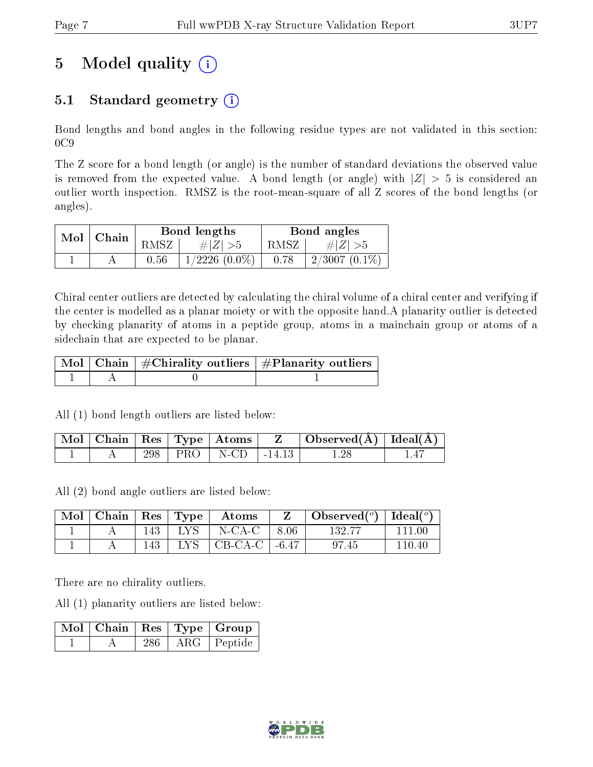# 5 Model quality  $(i)$

### 5.1 Standard geometry  $(i)$

Bond lengths and bond angles in the following residue types are not validated in this section:  $0C9$ 

The Z score for a bond length (or angle) is the number of standard deviations the observed value is removed from the expected value. A bond length (or angle) with  $|Z| > 5$  is considered an outlier worth inspection. RMSZ is the root-mean-square of all Z scores of the bond lengths (or angles).

| $Mol$   Chain |      | Bond lengths       | Bond angles |                  |  |
|---------------|------|--------------------|-------------|------------------|--|
|               | RMSZ | # $ Z  > 5$        | RMSZ,       | $\# Z  > 5$      |  |
|               | 0.56 | $1/2226$ $(0.0\%)$ | 0.78        | $12/3007(0.1\%)$ |  |

Chiral center outliers are detected by calculating the chiral volume of a chiral center and verifying if the center is modelled as a planar moiety or with the opposite hand.A planarity outlier is detected by checking planarity of atoms in a peptide group, atoms in a mainchain group or atoms of a sidechain that are expected to be planar.

|  | $\mid$ Mol $\mid$ Chain $\mid$ #Chirality outliers $\mid$ #Planarity outliers $\mid$ |
|--|--------------------------------------------------------------------------------------|
|  |                                                                                      |

All (1) bond length outliers are listed below:

|  |     | $\overline{\mid \text{Mol} \mid}$ Chain $\mid \text{Res} \mid \text{Type} \mid \text{Atoms} \mid$ |             | Observed $(A)$   Ideal $(A)$ |  |
|--|-----|---------------------------------------------------------------------------------------------------|-------------|------------------------------|--|
|  | 298 | PRO   N-CD                                                                                        | $1 - 14.13$ |                              |  |

All (2) bond angle outliers are listed below:

| Mol | $\vert$ Chain   Res   Type |     |                 | Atoms             |      | Observed $(^\circ)$   Ideal $(^\circ)$ |        |
|-----|----------------------------|-----|-----------------|-------------------|------|----------------------------------------|--------|
|     |                            | 143 | $\pm$ LYS $\pm$ | N-CA-C            | 8.06 | 132.77                                 | 111 00 |
|     |                            | 143 | LYS 1           | $CB-CA-C$   -6.47 |      | 97.45                                  | 110 40 |

There are no chirality outliers.

All (1) planarity outliers are listed below:

|  |     | $\lceil\,\overline{\mathrm{M}}\mathrm{o}\!\,l\,\rceil$ Chain $\mid\mathrm{Res}\mid\mathrm{Type}\mid\mathrm{Group}\mid$ |
|--|-----|------------------------------------------------------------------------------------------------------------------------|
|  | 286 | ARG   Peptide                                                                                                          |

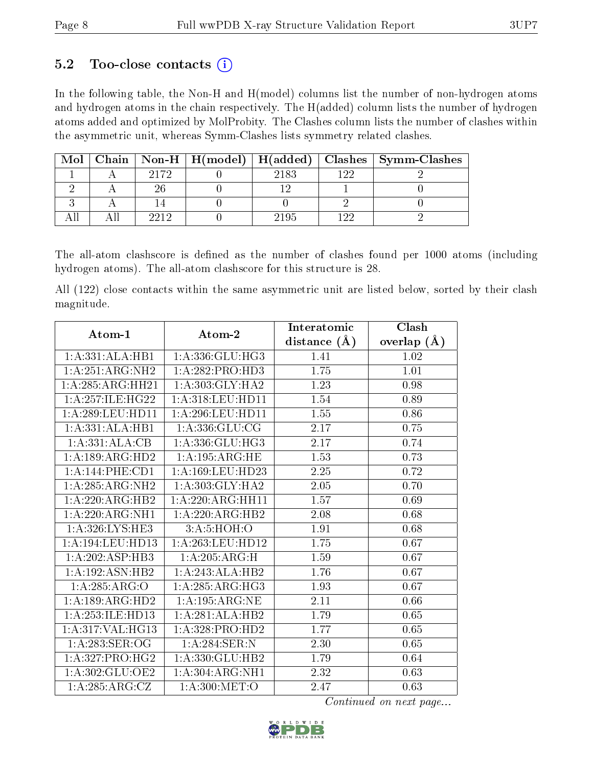#### 5.2 Too-close contacts  $(i)$

In the following table, the Non-H and H(model) columns list the number of non-hydrogen atoms and hydrogen atoms in the chain respectively. The H(added) column lists the number of hydrogen atoms added and optimized by MolProbity. The Clashes column lists the number of clashes within the asymmetric unit, whereas Symm-Clashes lists symmetry related clashes.

| Mol |      | Chain   Non-H   $H(model)$   $H(added)$ |      |     | Clashes   Symm-Clashes |
|-----|------|-----------------------------------------|------|-----|------------------------|
|     | 9179 |                                         | 2183 | 199 |                        |
|     |      |                                         |      |     |                        |
|     |      |                                         |      |     |                        |
|     |      |                                         | 2195 |     |                        |

The all-atom clashscore is defined as the number of clashes found per 1000 atoms (including hydrogen atoms). The all-atom clashscore for this structure is 28.

All (122) close contacts within the same asymmetric unit are listed below, sorted by their clash magnitude.

| Atom-1             | Atom-2               | Interatomic       | Clash             |
|--------------------|----------------------|-------------------|-------------------|
|                    |                      | distance $(\AA)$  | overlap $(A)$     |
| 1:A:331:ALA:HB1    | 1:A:336:GLU:HG3      | 1.41              | 1.02              |
| 1:A:251:ARG:NH2    | 1:A:282:PRO:HD3      | 1.75              | $\overline{1.01}$ |
| 1:A:285:ARG:HH21   | 1: A:303: GLY:HA2    | 1.23              | 0.98              |
| 1:A:257:ILE:HG22   | 1:A:318:LEU:HD11     | 1.54              | 0.89              |
| 1: A:289:LEU:HD11  | 1: A:296:LEU:HD11    | 1.55              | 0.86              |
| 1:A:331:ALA:HB1    | 1: A: 336: GLU: CG   | 2.17              | 0.75              |
| 1:A:331:ALA:CB     | 1: A: 336: GLU: HG3  | 2.17              | 0.74              |
| 1:A:189:ARG:HD2    | 1:A:195:ARG:HE       | 1.53              | 0.73              |
| 1:A:144:PHE:CD1    | 1: A: 169: LEU: HD23 | $\overline{2.25}$ | 0.72              |
| 1: A:285: ARG:NH2  | 1:A:303:GLY:HA2      | 2.05              | 0.70              |
| 1:A:220:ARG:HB2    | 1:A:220:ARG:HH11     | 1.57              | 0.69              |
| 1:A:220:ARG:NH1    | 1:A:220:ARG:HB2      | 2.08              | 0.68              |
| 1: A:326: LYS: HE3 | 3:A:5:HOH:O          | 1.91              | 0.68              |
| 1: A:194:LEU:HD13  | 1: A:263:LEU:HD12    | 1.75              | 0.67              |
| 1: A:202: ASP:HB3  | 1:A:205:ARG:H        | 1.59              | 0.67              |
| 1:A:192:ASN:HB2    | 1:A:243:ALA:HB2      | 1.76              | 0.67              |
| 1:A:285:ARG:O      | 1:A:285:ARG:HG3      | 1.93              | 0.67              |
| 1:A:189:ARG:HD2    | 1:A:195:ARG:NE       | 2.11              | 0.66              |
| 1:A:253:ILE:HD13   | 1:A:281:ALA:HB2      | 1.79              | 0.65              |
| 1: A:317: VAL:HG13 | 1:A:328:PRO:HD2      | 1.77              | 0.65              |
| 1:A:283:SER:OG     | 1:A:284:SER:N        | 2.30              | 0.65              |
| 1: A:327: PRO:HG2  | 1:A:330:GLU:HB2      | 1.79              | 0.64              |
| 1: A:302: GLU:OE2  | 1:A:304:ARG:NH1      | 2.32              | 0.63              |
| 1:A:285:ARG:CZ     | 1: A:300:MET:O       | 2.47              | 0.63              |

Continued on next page...

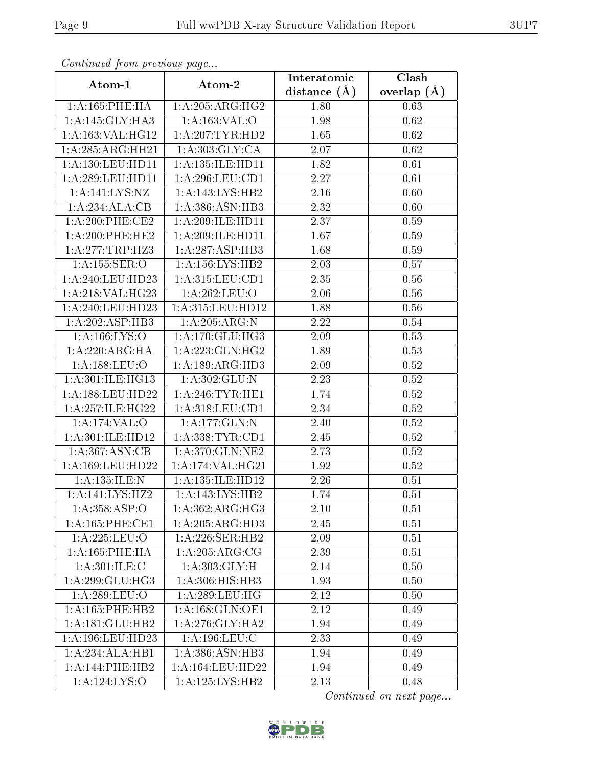| Communaca from previous page |                                      | Interatomic      | Clash           |
|------------------------------|--------------------------------------|------------------|-----------------|
| Atom-1                       | Atom-2                               | distance $(\AA)$ | overlap $(\AA)$ |
| 1:A:165:PHE:HA               | 1:A:205:ARG:HG2                      | 1.80             | 0.63            |
| 1:A:145:GLY:HA3              | 1: A: 163: VAL: O                    | 1.98             | 0.62            |
| 1:A:163:VAL:HG12             | 1: A:207:TYR:HD2                     | 1.65             | 0.62            |
| 1:A:285:ARG:HH21             | 1: A: 303: GLY: CA                   | 2.07             | 0.62            |
| 1: A: 130: LEU: HD11         | 1: A: 135: ILE: HD11                 | 1.82             | 0.61            |
| 1:A:289:LEU:HD11             | 1: A:296:LEU:CD1                     | 2.27             | 0.61            |
| 1:A:141:LYS:NZ               | 1:A:143:LYS:HB2                      | 2.16             | 0.60            |
| 1:A:234:ALA:CB               | 1:A:386:ASN:HB3                      | 2.32             | 0.60            |
| 1: A:200:PHE:CE2             | 1:A:209:ILE:HD11                     | 2.37             | 0.59            |
| $1: A:200:$ PHE:HE2          | 1: A:209: ILE: HD11                  | 1.67             | 0.59            |
| 1: A:277:TRP:HZ3             | 1:A:287:ASP:HB3                      | 1.68             | 0.59            |
| 1:A:155:SER:O                | 1: A: 156: LYS: HB2                  | 2.03             | 0.57            |
| 1:A:240:LEU:HD23             | 1: A: 315: LEU: CD1                  | 2.35             | 0.56            |
| 1:A:218:VAL:HG23             | 1:A:262:LEU:O                        | 2.06             | 0.56            |
| 1:A:240:LEU:HD23             | $1:\overline{A}:315:\text{LEU}:HD12$ | 1.88             | 0.56            |
| 1:A:202:ASP:HB3              | 1: A:205: ARG: N                     | 2.22             | 0.54            |
| 1: A: 166: LYS: O            | 1: A:170: GLU: HG3                   | 2.09             | 0.53            |
| 1: A:220: ARG: HA            | 1:A:223:GLN:HG2                      | 1.89             | 0.53            |
| 1:A:188:LEU:O                | 1:A:189:ARG:HD3                      | 2.09             | 0.52            |
| 1: A:301: ILE: HG13          | 1: A:302: GLU:N                      | 2.23             | 0.52            |
| 1: A: 188: LEU: HD22         | 1: A:246:TYR:HE1                     | 1.74             | 0.52            |
| 1: A:257: ILE: HG22          | 1: A: 318: LEU: CD1                  | 2.34             | 0.52            |
| 1:A:174:VAL:O                | 1:A:177:GLN:N                        | 2.40             | 0.52            |
| 1:A:301:ILE:HD12             | 1: A: 338: TYR: CD1                  | 2.45             | 0.52            |
| 1: A:367: ASN:CB             | 1: A:370: GLN: NE2                   | 2.73             | 0.52            |
| 1: A:169: LEU: HD22          | 1:A:174:VAL:HG21                     | 1.92             | 0.52            |
| 1: A: 135: ILE:N             | 1:A:135:ILE:HD12                     | 2.26             | 0.51            |
| $1:A:141:LYS:\overline{HZ2}$ | $1:A:143:\overline{\text{LYS:HB2}}$  | 1.74             | 0.51            |
| 1:A:358:ASP:O                | 1: A:362:ARG:HG3                     | 2.10             | 0.51            |
| 1: A: 165: PHE: CE1          | 1:A:205:ARG:HD3                      | 2.45             | 0.51            |
| 1:A:225:LEU:O                | 1: A:226: SER: HB2                   | 2.09             | 0.51            |
| 1:A:165:PHE:HA               | $1:A:205:AR\overline{G:CG}$          | 2.39             | 0.51            |
| 1: A:301: ILE:C              | 1: A: 303: GLY: H                    | 2.14             | 0.50            |
| 1:A:299:GLU:HG3              | 1:A:306:HIS:HB3                      | 1.93             | 0.50            |
| 1:A:289:LEU:O                | 1: A:289:LEU:HG                      | 2.12             | 0.50            |
| 1:A:165:PHE:HB2              | 1: A: 168: GLN: OE1                  | 2.12             | 0.49            |
| 1:A:181:GLU:HB2              | 1: A:276: GLY:HA2                    | 1.94             | 0.49            |
| 1:A:196:LEU:HD23             | 1:A:196:LEU:C                        | 2.33             | 0.49            |
| 1:A:234:ALA:HB1              | 1: A:386: ASN:HB3                    | 1.94             | 0.49            |
| 1: A:144:PHE:HB2             | 1:A:164:LEU:HD22                     | 1.94             | 0.49            |
| 1:A:124:LYS:O                | 1:A:125:LYS:HB2                      | 2.13             | 0.48            |

Continued from previous page.

Continued on next page...

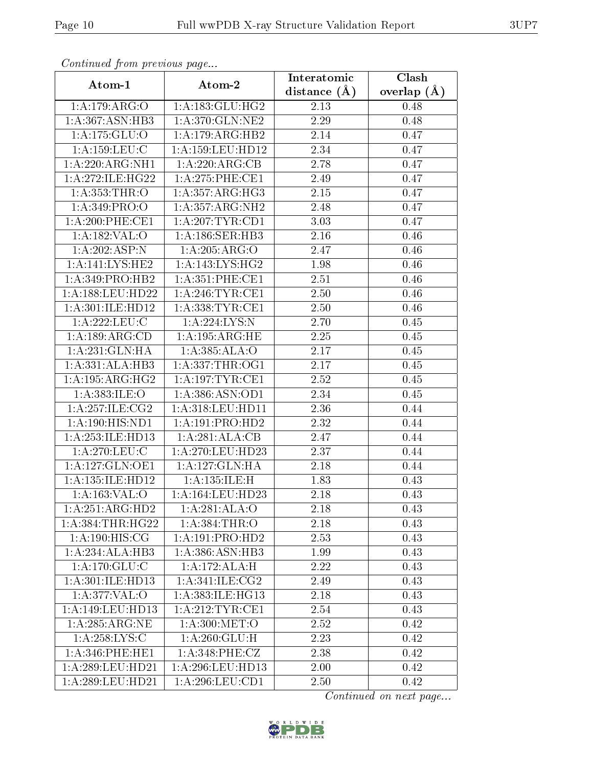| Continuea from previous page        |                       | Interatomic    | Clash         |  |
|-------------------------------------|-----------------------|----------------|---------------|--|
| Atom-1                              | Atom-2                | distance $(A)$ | overlap $(A)$ |  |
| 1:A:179:ARG:O                       | 1: A: 183: GLU: HG2   | 2.13           | 0.48          |  |
| 1: A: 367: ASN: HB3                 | 1:A:370:GLN:NE2       | 2.29           | 0.48          |  |
| 1:A:175:GLU:O                       | 1:A:179:ARG:HB2       | 2.14           | 0.47          |  |
| 1:A:159:LEU:C                       | 1:A:159:LEU:HD12      | 2.34           | 0.47          |  |
| 1:A:220:ARG:NH1                     | 1:A:220:ARG:CB        | 2.78           | 0.47          |  |
| 1:A:272:ILE:HG22                    | 1:A:275:PHE:CE1       | 2.49           | 0.47          |  |
| 1: A: 353: THR:O                    | 1: A:357: ARG:HG3     | 2.15           | 0.47          |  |
| 1: A:349: PRO:O                     | 1: A: 357: ARG: NH2   | 2.48           | 0.47          |  |
| $1: A:200:$ PHE:CE1                 | 1:A:207:TYR:CD1       | 3.03           | 0.47          |  |
| 1:A:182:VAL:O                       | 1: A: 186: SER: HB3   | 2.16           | 0.46          |  |
| 1:A:202:ASP:N                       | 1:A:205:ARG:O         | 2.47           | 0.46          |  |
| $1:A:141:\overline{\text{LYS:HE2}}$ | 1:A:143:LYS:HG2       | 1.98           | 0.46          |  |
| 1: A:349: PRO:HB2                   | 1: A:351: PHE:CE1     | 2.51           | 0.46          |  |
| 1: A: 188: LEU: HD22                | 1: A:246:TYR:CE1      | 2.50           | 0.46          |  |
| 1:A:301:ILE:HD12                    | 1: A: 338: TYR: CE1   | 2.50           | 0.46          |  |
| 1: A:222:LEU:C                      | 1:A:224:LYS:N         | 2.70           | 0.45          |  |
| 1:A:189:ARG:CD                      | 1:A:195:ARG:HE        | 2.25           | 0.45          |  |
| 1:A:231:GLN:HA                      | 1:A:385:ALA:O         | 2.17           | 0.45          |  |
| 1:A:331:ALA:HB3                     | 1: A: 337: THR: OG1   | 2.17           | 0.45          |  |
| 1:A:195:ARG:HG2                     | 1:A:197:TYR:CE1       | 2.52           | 0.45          |  |
| 1:A:383:ILE:O                       | 1:A:386:ASN:OD1       | 2.34           | 0.45          |  |
| 1: A:257: ILE: CG2                  | 1:A:318:LEU:HD11      | 2.36           | 0.44          |  |
| 1:A:190:HIS:ND1                     | 1:A:191:PRO:HD2       | 2.32           | 0.44          |  |
| 1:A:253:ILE:HD13                    | 1:A:281:ALA:CB        | 2.47           | 0.44          |  |
| 1:A:270:LEU:C                       | 1:A:270:LEU:HD23      | 2.37           | 0.44          |  |
| 1:A:127:GLN:OE1                     | 1:A:127:GLN:HA        | 2.18           | 0.44          |  |
| 1:A:135:ILE:HD12                    | 1: A: 135: ILE:H      | 1.83           | 0.43          |  |
| 1: A:163:VAL:O                      | $1: A: 164:$ LEU:HD23 | 2.18           | 0.43          |  |
| 1:A:251:ARG:HD2                     | 1:A:281:ALA:O         | 2.18           | 0.43          |  |
| 1: A: 384: THR: HG22                | 1:A:384:THR:O         | 2.18           | 0.43          |  |
| 1: A:190:HIS:CG                     | 1:A:191:PRO:HD2       | 2.53           | 0.43          |  |
| 1:A:234:ALA:HB3                     | 1:A:386:ASN:HB3       | 1.99           | 0.43          |  |
| 1: A:170: GLU: C                    | 1:A:172:ALA:H         | 2.22           | 0.43          |  |
| 1:A:301:ILE:HD13                    | 1: A:341: ILE: CG2    | 2.49           | 0.43          |  |
| 1: A:377: VAL:O                     | 1: A: 383: ILE: HG13  | 2.18           | 0.43          |  |
| 1:A:149:LEU:HD13                    | 1:A:212:TYR:CE1       | 2.54           | 0.43          |  |
| 1: A:285:ARG:NE                     | 1: A:300:MET:O        | 2.52           | 0.42          |  |
| 1: A:258: LYS:C                     | 1: A:260: GLU: H      | 2.23           | 0.42          |  |
| 1: A:346: PHE:HE1                   | 1: A:348: PHE: CZ     | 2.38           | 0.42          |  |
| 1:A:289:LEU:HD21                    | 1:A:296:LEU:HD13      | 2.00           | 0.42          |  |
| 1:A:289:LEU:HD21                    | 1:A:296:LEU:CD1       | 2.50           | 0.42          |  |

Continued from previous page.

Continued on next page...

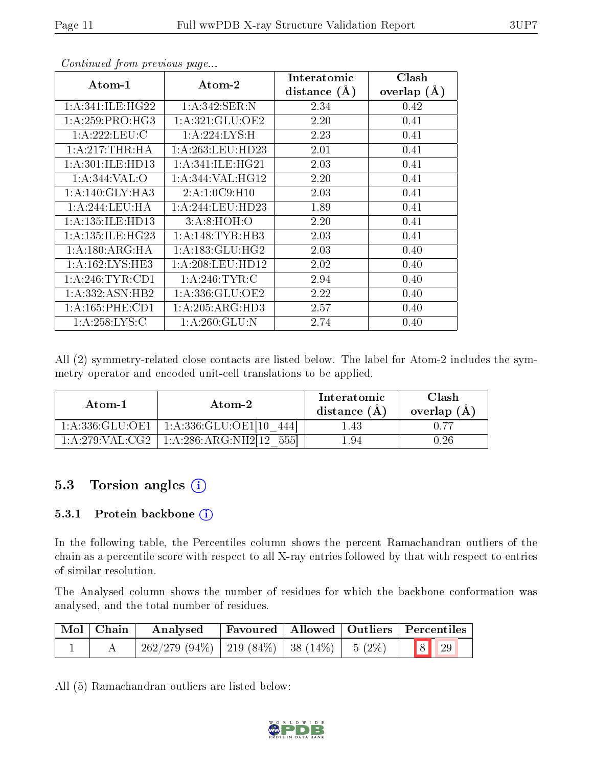| $Atom-1$             | Atom-2              | Interatomic    | Clash         |
|----------------------|---------------------|----------------|---------------|
|                      |                     | distance $(A)$ | overlap $(A)$ |
| 1: A:341: ILE: HG22  | 1:A:342:SER:N       | 2.34           | 0.42          |
| 1: A:259: PRO:HG3    | 1: A:321: GLU:OE2   | 2.20           | 0.41          |
| 1:A:222:LEU:C        | 1:A:224:LYS:H       | 2.23           | 0.41          |
| 1:A:217:THR:HA       | 1: A:263:LEU:HD23   | 2.01           | 0.41          |
| 1: A:301: ILE: HDI3  | 1: A:341: ILE: HG21 | 2.03           | 0.41          |
| 1: A:344: VAL:O      | 1: A:344: VAL:HG12  | 2.20           | 0.41          |
| 1: A:140: GLY:HA3    | 2:A:1:0C9:H10       | 2.03           | 0.41          |
| 1: A:244:LEU:HA      | 1: A:244:LEU:HD23   | 1.89           | 0.41          |
| 1:A:135:ILE:HD13     | 3: A:8: HOH:O       | 2.20           | 0.41          |
| 1: A: 135: ILE: HG23 | 1: A:148:TYR:HB3    | 2.03           | 0.41          |
| 1: A:180: ARG: HA    | 1: A: 183: GLU: HG2 | 2.03           | 0.40          |
| 1: A: 162: LYS: HE3  | 1: A:208:LEU:HD12   | 2.02           | 0.40          |
| 1: A:246:TYR:CD1     | 1: A:246:TYR:C      | 2.94           | 0.40          |
| 1: A: 332: ASN: HB2  | 1: A: 336: GLU: OE2 | 2.22           | 0.40          |
| 1: A: 165: PHE: CD1  | 1:A:205:ARG:HD3     | 2.57           | 0.40          |
| 1:A:258:LYS:C        | 1: A:260: GLU:N     | 2.74           | 0.40          |

Continued from previous page...

All (2) symmetry-related close contacts are listed below. The label for Atom-2 includes the symmetry operator and encoded unit-cell translations to be applied.

| Atom-1              | Atom-2                        | Interatomic<br>distance $(A)$ | $\operatorname{Clash}$<br>overlap $(A)$ |
|---------------------|-------------------------------|-------------------------------|-----------------------------------------|
| 1: A: 336: GLU: OE1 | $+1:$ A:336:GLU:OE1[10]       | 1.43                          |                                         |
| 1: A:279: VAL: CG2  | 1: A:286: ARG:NH2[12]<br>5551 | L.94                          | -26                                     |

#### 5.3 Torsion angles (i)

#### 5.3.1 Protein backbone (i)

In the following table, the Percentiles column shows the percent Ramachandran outliers of the chain as a percentile score with respect to all X-ray entries followed by that with respect to entries of similar resolution.

The Analysed column shows the number of residues for which the backbone conformation was analysed, and the total number of residues.

| $\mid$ Mol $\mid$ Chain $\mid$ | Analysed   Favoured   Allowed   Outliers   Percentiles |  |  |
|--------------------------------|--------------------------------------------------------|--|--|
|                                |                                                        |  |  |

All (5) Ramachandran outliers are listed below:

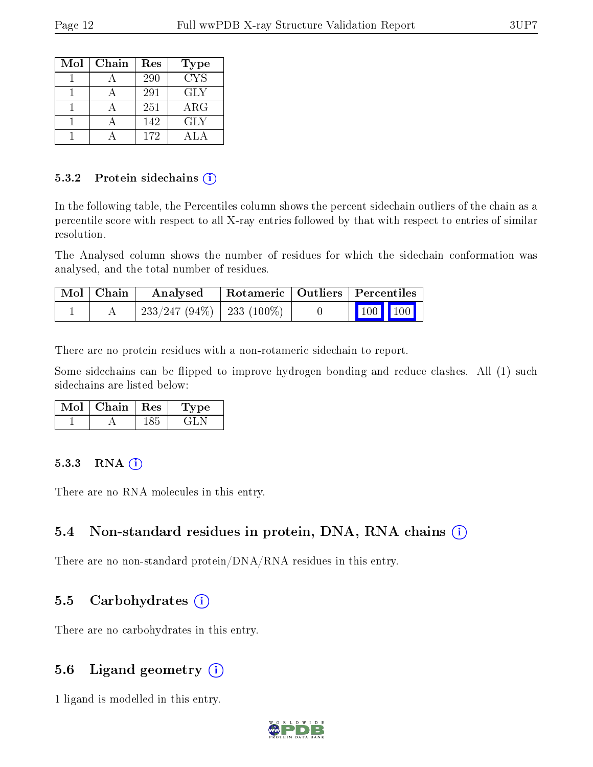| Mol | Chain | Res | <b>Type</b> |
|-----|-------|-----|-------------|
|     |       | 290 | <b>CYS</b>  |
|     |       | 291 | GLY         |
|     |       | 251 | ${\rm ARG}$ |
|     |       | 142 | GLY         |
|     |       | 172 |             |

#### 5.3.2 Protein sidechains  $(i)$

In the following table, the Percentiles column shows the percent sidechain outliers of the chain as a percentile score with respect to all X-ray entries followed by that with respect to entries of similar resolution.

The Analysed column shows the number of residues for which the sidechain conformation was analysed, and the total number of residues.

| $\mid$ Mol $\mid$ Chain $\mid$ | Analysed                               | $\mid$ Rotameric $\mid$ Outliers $\mid$ Percentiles |                             |  |
|--------------------------------|----------------------------------------|-----------------------------------------------------|-----------------------------|--|
|                                | $\mid$ 233/247 (94%) $\mid$ 233 (100%) |                                                     | $\boxed{100}$ $\boxed{100}$ |  |

There are no protein residues with a non-rotameric sidechain to report.

Some sidechains can be flipped to improve hydrogen bonding and reduce clashes. All (1) such sidechains are listed below:

| Mol | Chain | $\parallel$ Res | t vpe i |
|-----|-------|-----------------|---------|
|     |       |                 |         |

#### 5.3.3 RNA (i)

There are no RNA molecules in this entry.

#### 5.4 Non-standard residues in protein, DNA, RNA chains (i)

There are no non-standard protein/DNA/RNA residues in this entry.

#### 5.5 Carbohydrates (i)

There are no carbohydrates in this entry.

#### 5.6 Ligand geometry  $(i)$

1 ligand is modelled in this entry.

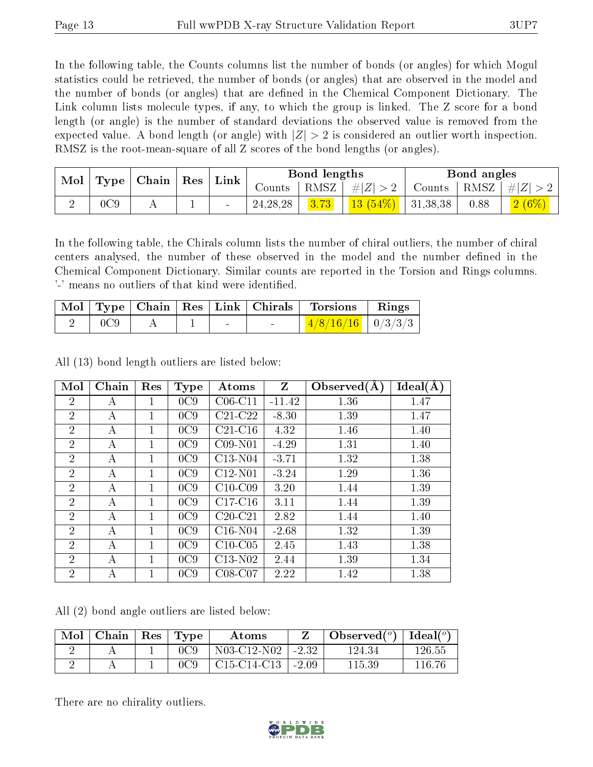In the following table, the Counts columns list the number of bonds (or angles) for which Mogul statistics could be retrieved, the number of bonds (or angles) that are observed in the model and the number of bonds (or angles) that are dened in the Chemical Component Dictionary. The Link column lists molecule types, if any, to which the group is linked. The Z score for a bond length (or angle) is the number of standard deviations the observed value is removed from the expected value. A bond length (or angle) with  $|Z| > 2$  is considered an outlier worth inspection. RMSZ is the root-mean-square of all Z scores of the bond lengths (or angles).

| Mol |     | $\vert$ Type $\vert$ Chain $\vert$ Res $\vert$ |   |                          |            |      |            |          |      |                     |  | $\pm$ Link $\pm$ | Bond lengths |  |  | Bond angles |  |  |
|-----|-----|------------------------------------------------|---|--------------------------|------------|------|------------|----------|------|---------------------|--|------------------|--------------|--|--|-------------|--|--|
|     |     |                                                |   |                          | Counts     | RMSZ | $\# Z $    | Counts   |      | $ RMSZ  \#  Z  > 1$ |  |                  |              |  |  |             |  |  |
|     | 0C9 | 4 L                                            | ÷ | $\overline{\phantom{0}}$ | 24, 28, 28 | 3.73 | $13(54\%)$ | 31,38,38 | 0.88 | 2(6%)               |  |                  |              |  |  |             |  |  |

In the following table, the Chirals column lists the number of chiral outliers, the number of chiral centers analysed, the number of these observed in the model and the number defined in the Chemical Component Dictionary. Similar counts are reported in the Torsion and Rings columns. '-' means no outliers of that kind were identified.

|     |  |                          |        | Mol   Type   Chain   Res   Link   Chirals   Torsions | $\parallel$ Rings |
|-----|--|--------------------------|--------|------------------------------------------------------|-------------------|
| 0C9 |  | $\overline{\phantom{0}}$ | $\sim$ | $1/8/16/16$   $0/3/3/3$                              |                   |

All (13) bond length outliers are listed below:

| Mol            | Chain | Res | <b>Type</b> | Atoms     | Z        | Observed $(A)$ | Ideal(A) |
|----------------|-------|-----|-------------|-----------|----------|----------------|----------|
| $\overline{2}$ | А     | 1   | 0C9         | $C06-C11$ | $-11.42$ | 1.36           | 1.47     |
| $\overline{2}$ | А     |     | 0C9         | $C21-C22$ | $-8.30$  | 1.39           | 1.47     |
| $\overline{2}$ | А     | 1   | 0C9         | $C21-C16$ | 4.32     | 1.46           | 1.40     |
| $\overline{2}$ | А     | 1   | 0C9         | $C09-N01$ | $-4.29$  | 1.31           | 1.40     |
| $\overline{2}$ | А     |     | 0C9         | $C13-N04$ | $-3.71$  | 1.32           | 1.38     |
| $\overline{2}$ | А     | 1   | 0C9         | $C12-N01$ | $-3.24$  | 1.29           | 1.36     |
| $\overline{2}$ | А     | 1   | 0C9         | $C10-C09$ | 3.20     | 1.44           | 1.39     |
| $\overline{2}$ | А     | 1   | 0C9         | $C17-C16$ | 3.11     | 1.44           | 1.39     |
| $\overline{2}$ | А     | 1   | 0C9         | $C20-C21$ | 2.82     | 1.44           | 1.40     |
| $\overline{2}$ | А     | 1   | 0C9         | $C16-N04$ | $-2.68$  | 1.32           | 1.39     |
| $\overline{2}$ | А     | 1   | 0C9         | $C10-C05$ | 2.45     | 1.43           | 1.38     |
| $\overline{2}$ | А     | 1   | 0C9         | $C13-N02$ | 2.44     | 1.39           | 1.34     |
| $\overline{2}$ | А     |     | 0C9         | $C08-C07$ | 2.22     | 1.42           | 1.38     |

All (2) bond angle outliers are listed below:

| Mol | Chain | $\operatorname{Res}$ | $\mathbf{T}$ $\mathbf{Type}$ | Atoms          |         | Observed $(^\circ)$ | Ideal $({}^{\circ}{}$ |
|-----|-------|----------------------|------------------------------|----------------|---------|---------------------|-----------------------|
|     |       |                      | 0C9                          | N03-C12-N02    | $-2.32$ | 124.34              | 126.55                |
|     |       |                      |                              | $C15$ -C14-C13 | $-2.09$ | $115.39\,$          | 116 76                |

There are no chirality outliers.

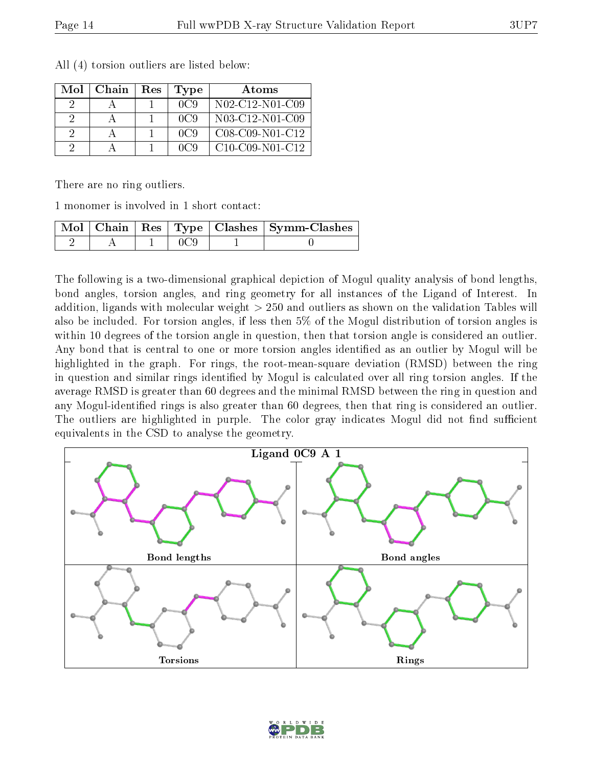| Mol | Chain | Res | Type | Atoms              |
|-----|-------|-----|------|--------------------|
|     |       |     | 0C9  | N02-C12-N01-C09    |
|     |       |     | 0C9  | N03-C12-N01-C09    |
| 9   |       |     | 0C9  | $C08-C09-N01-C12$  |
|     |       |     | nca  | $C10$ -C09-N01-C12 |

All (4) torsion outliers are listed below:

There are no ring outliers.

1 monomer is involved in 1 short contact:

|  |  | $\mid$ Mol $\mid$ Chain $\mid$ Res $\mid$ Type $\mid$ Clashes $\mid$ Symm-Clashes $\mid$ |
|--|--|------------------------------------------------------------------------------------------|
|  |  |                                                                                          |

The following is a two-dimensional graphical depiction of Mogul quality analysis of bond lengths, bond angles, torsion angles, and ring geometry for all instances of the Ligand of Interest. In addition, ligands with molecular weight > 250 and outliers as shown on the validation Tables will also be included. For torsion angles, if less then 5% of the Mogul distribution of torsion angles is within 10 degrees of the torsion angle in question, then that torsion angle is considered an outlier. Any bond that is central to one or more torsion angles identified as an outlier by Mogul will be highlighted in the graph. For rings, the root-mean-square deviation (RMSD) between the ring in question and similar rings identified by Mogul is calculated over all ring torsion angles. If the average RMSD is greater than 60 degrees and the minimal RMSD between the ring in question and any Mogul-identified rings is also greater than 60 degrees, then that ring is considered an outlier. The outliers are highlighted in purple. The color gray indicates Mogul did not find sufficient equivalents in the CSD to analyse the geometry.



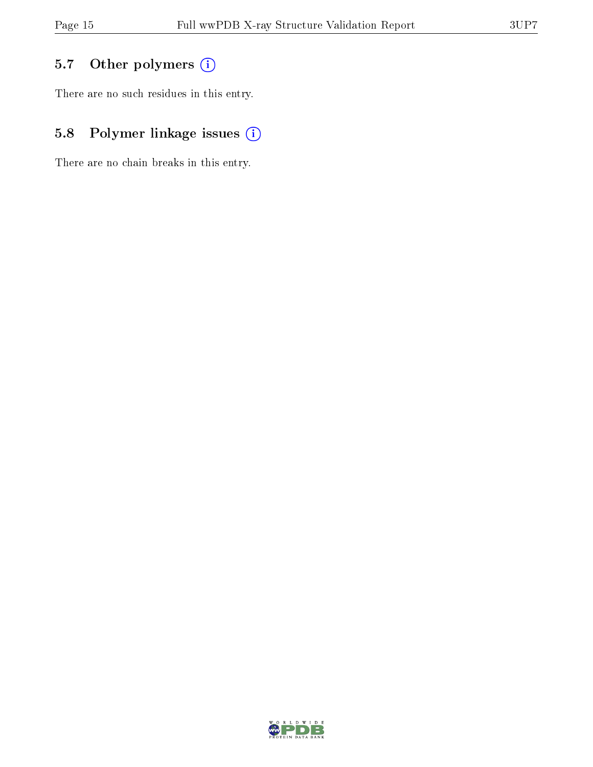## 5.7 [O](https://www.wwpdb.org/validation/2017/XrayValidationReportHelp#nonstandard_residues_and_ligands)ther polymers (i)

There are no such residues in this entry.

## 5.8 Polymer linkage issues (i)

There are no chain breaks in this entry.

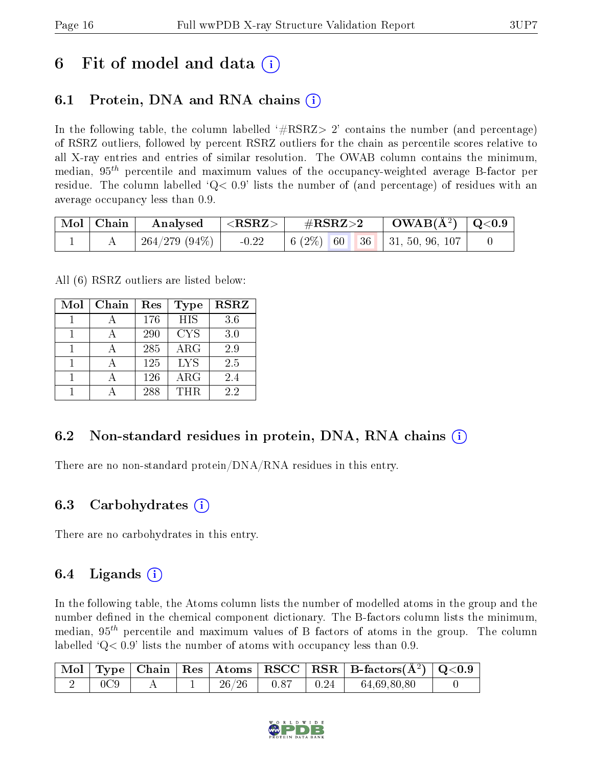## 6 Fit of model and data  $\left( \cdot \right)$

### 6.1 Protein, DNA and RNA chains (i)

In the following table, the column labelled  $#RSRZ>2'$  contains the number (and percentage) of RSRZ outliers, followed by percent RSRZ outliers for the chain as percentile scores relative to all X-ray entries and entries of similar resolution. The OWAB column contains the minimum, median,  $95<sup>th</sup>$  percentile and maximum values of the occupancy-weighted average B-factor per residue. The column labelled  $Q < 0.9$  lists the number of (and percentage) of residues with an average occupancy less than 0.9.

| $\vert$ Mol $\vert$ Chain $\vert$ | $\rm{Analysed}$ $ \langle \rm{RSRZ}\rangle $ |         | $\rm \#RSRZ{>}2$ |  | $\text{OWAB}(\AA^2)$ $\mid$ Q<0.9 $\mid$                                                             |  |
|-----------------------------------|----------------------------------------------|---------|------------------|--|------------------------------------------------------------------------------------------------------|--|
|                                   | 264/279 (94%)                                | $-0.22$ |                  |  | $\begin{array}{ c c c c c c c c } \hline 6 & (2\%) & 60 & 36 & 31, 50, 96, 107 \\\hline \end{array}$ |  |

All (6) RSRZ outliers are listed below:

| Mol | Chain | Res | <b>Type</b> | <b>RSRZ</b> |
|-----|-------|-----|-------------|-------------|
|     |       | 176 | <b>HIS</b>  | 3.6         |
|     |       | 290 | <b>CYS</b>  | 3.0         |
|     |       | 285 | ARG         | 2.9         |
|     |       | 125 | <b>LYS</b>  | 2.5         |
|     |       | 126 | ARG         | 2.4         |
|     |       | 288 | THR         | 22          |

#### 6.2 Non-standard residues in protein, DNA, RNA chains (i)

There are no non-standard protein/DNA/RNA residues in this entry.

#### 6.3 Carbohydrates (i)

There are no carbohydrates in this entry.

#### 6.4 Ligands  $(i)$

In the following table, the Atoms column lists the number of modelled atoms in the group and the number defined in the chemical component dictionary. The B-factors column lists the minimum, median,  $95<sup>th</sup>$  percentile and maximum values of B factors of atoms in the group. The column labelled  $Q< 0.9$  lists the number of atoms with occupancy less than 0.9.

|     |  |       |                          | $\mid$ Mol $\mid$ Type $\mid$ Chain $\mid$ Res $\mid$ Atoms $\mid$ RSCC $\mid$ RSR $\mid$ B-factors(A <sup>2</sup> ) $\mid$ Q<0.9 |  |
|-----|--|-------|--------------------------|-----------------------------------------------------------------------------------------------------------------------------------|--|
| 0C9 |  | 26/26 | $1\quad 0.87$ $0.24$ $1$ | 64,69,80,80                                                                                                                       |  |